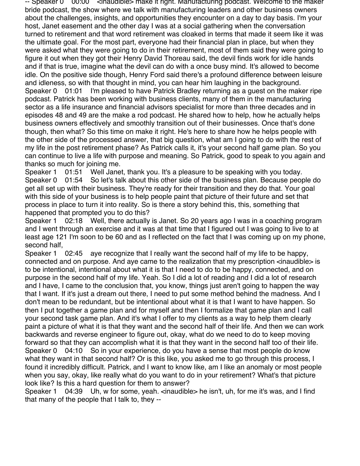-- Speaker 0  $\,$  00:00  $\,$  <inaudible> make it right. Manufacturing podcast. Welcome to the maker bride podcast, the show where we talk with manufacturing leaders and other business owners about the challenges, insights, and opportunities they encounter on a day to day basis. I'm your host, Janet easement and the other day I was at a social gathering when the conversation turned to retirement and that word retirement was cloaked in terms that made it seem like it was the ultimate goal. For the most part, everyone had their financial plan in place, but when they were asked what they were going to do in their retirement, most of them said they were going to figure it out when they got their Henry David Thoreau said, the devil finds work for idle hands and if that is true, imagine what the devil can do with a once busy mind. It's allowed to become idle. On the positive side though, Henry Ford said there's a profound difference between leisure and idleness, so with that thought in mind, you can hear him laughing in the background. Speaker 0 01:01 I'm pleased to have Patrick Bradley returning as a guest on the maker ripe podcast. Patrick has been working with business clients, many of them in the manufacturing sector as a life insurance and financial advisors specialist for more than three decades and in episodes 48 and 49 are the make a rod podcast. He shared how to help, how he actually helps business owners effectively and smoothly transition out of their businesses. Once that's done though, then what? So this time on make it right. He's here to share how he helps people with the other side of the processed answer, that big question, what am I going to do with the rest of my life in the post retirement phase? As Patrick calls it, it's your second half game plan. So you can continue to live a life with purpose and meaning. So Patrick, good to speak to you again and thanks so much for joining me.

Speaker 1 01:51 Well Janet, thank you. It's a pleasure to be speaking with you today. Speaker 0 01:54 So let's talk about this other side of the business plan. Because people do get all set up with their business. They're ready for their transition and they do that. Your goal with this side of your business is to help people paint that picture of their future and set that process in place to turn it into reality. So is there a story behind this, this, something that happened that prompted you to do this?

Speaker 1 02:18 Well, there actually is Janet. So 20 years ago I was in a coaching program and I went through an exercise and it was at that time that I figured out I was going to live to at least age 121 I'm soon to be 60 and as I reflected on the fact that I was coming up on my phone, second half,

Speaker 1 02:45 aye recognize that I really want the second half of my life to be happy, connected and on purpose. And aye came to the realization that my prescription <inaudible> is to be intentional, intentional about what it is that I need to do to be happy, connected, and on purpose in the second half of my life. Yeah. So I did a lot of reading and I did a lot of research and I have, I came to the conclusion that, you know, things just aren't going to happen the way that I want. If it's just a dream out there, I need to put some method behind the madness. And I don't mean to be redundant, but be intentional about what it is that I want to have happen. So then I put together a game plan and for myself and then I formalize that game plan and I call your second task game plan. And it's what I offer to my clients as a way to help them clearly paint a picture of what it is that they want and the second half of their life. And then we can work backwards and reverse engineer to figure out, okay, what do we need to do to keep moving forward so that they can accomplish what it is that they want in the second half too of their life. Speaker 0 04:10 So in your experience, do you have a sense that most people do know what they want in that second half? Or is this like, you asked me to go through this process, I found it incredibly difficult. Patrick, and I want to know like, am I like an anomaly or most people when you say, okay, like really what do you want to do in your retirement? What's that picture look like? Is this a hard question for them to answer?

Speaker 1 04:39 Uh, w for some, yeah. <inaudible> he isn't, uh, for me it's was, and I find that many of the people that I talk to, they --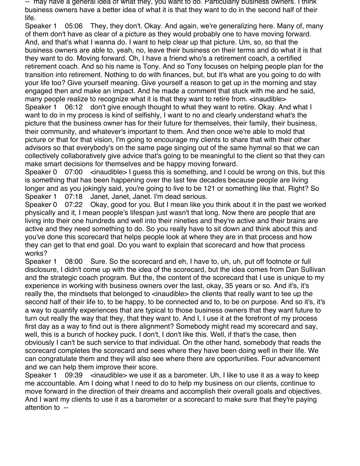-- may have a general idea of what they, you want to do. Particularly business owners. I think business owners have a better idea of what it is that they want to do in the second half of their life.

Speaker 1 05:06 They, they don't. Okay. And again, we're generalizing here. Many of, many of them don't have as clear of a picture as they would probably one to have moving forward. And, and that's what I wanna do. I want to help clear up that picture. Um, so, so that the business owners are able to, yeah, no, leave their business on their terms and do what it is that they want to do. Moving forward. Oh, I have a friend who's a retirement coach, a certified retirement coach. And so his name is Tony. And so Tony focuses on helping people plan for the transition into retirement. Nothing to do with finances, but, but it's what are you going to do with your life too? Give yourself meaning. Give yourself a reason to get up in the morning and stay engaged then and make an impact. And he made a comment that stuck with me and he said, many people realize to recognize what it is that they want to retire from.  $\langle$ inaudible $\rangle$ Speaker 1 06:12 don't give enough thought to what they want to retire. Okay. And what I want to do in my process is kind of selfishly, I want to no and clearly understand what's the picture that the business owner has for their future for themselves, their family, their business, their community, and whatever's important to them. And then once we're able to mold that picture or that for that vision, I'm going to encourage my clients to share that with their other advisors so that everybody's on the same page singing out of the same hymnal so that we can collectively collaboratively give advice that's going to be meaningful to the client so that they can make smart decisions for themselves and be happy moving forward.

Speaker  $0$  07:00  $\leq$  inaudible I guess this is something, and I could be wrong on this, but this is something that has been happening over the last few decades because people are living longer and as you jokingly said, you're going to live to be 121 or something like that. Right? So Speaker 1 07:18 Janet, Janet, Janet. I'm dead serious.

Speaker 0 07:22 Okay, good for you. But I mean like you think about it in the past we worked physically and it, I mean people's lifespan just wasn't that long. Now there are people that are living into their one hundreds and well into their nineties and they're active and their brains are active and they need something to do. So you really have to sit down and think about this and you've done this scorecard that helps people look at where they are in that process and how they can get to that end goal. Do you want to explain that scorecard and how that process works?

Speaker 1 08:00 Sure. So the scorecard and eh, I have to, uh, uh, put off footnote or full disclosure, I didn't come up with the idea of the scorecard, but the idea comes from Dan Sullivan and the strategic coach program. But the, the content of the scorecard that I use is unique to my experience in working with business owners over the last, okay, 35 years or so. And it's, it's really the, the mindsets that belonged to <inaudible> the clients that really want to tee up the second half of their life to, to be happy, to be connected and to, to be on purpose. And so it's, it's a way to quantify experiences that are typical to those business owners that they want future to turn out really the way that they, that they want to. And I, I use it at the forefront of my process first day as a way to find out is there alignment? Somebody might read my scorecard and say, well, this is a bunch of hockey puck. I don't, I don't like this. Well, if that's the case, then obviously I can't be such service to that individual. On the other hand, somebody that reads the scorecard completes the scorecard and sees where they have been doing well in their life. We can congratulate them and they will also see where there are opportunities. Four advancement and we can help them improve their score.

Speaker 1 09:39 <inaudible> we use it as a barometer. Uh, I like to use it as a way to keep me accountable. Am I doing what I need to do to help my business on our clients, continue to move forward in the direction of their dreams and accomplish their overall goals and objectives. And I want my clients to use it as a barometer or a scorecard to make sure that they're paying attention to --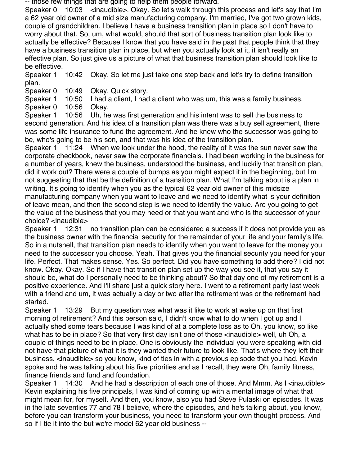-- those few things that are going to help them people forward.

Speaker 0 10:03 <inaudible>. Okay. So let's walk through this process and let's say that I'm a 62 year old owner of a mid size manufacturing company. I'm married, I've got two grown kids, couple of grandchildren. I believe I have a business transition plan in place so I don't have to worry about that. So, um, what would, should that sort of business transition plan look like to actually be effective? Because I know that you have said in the past that people think that they have a business transition plan in place, but when you actually look at it, it isn't really an effective plan. So just give us a picture of what that business transition plan should look like to be effective.

Speaker 1 10:42 Okay. So let me just take one step back and let's try to define transition plan.

Speaker 0 10:49 Okay. Quick story.

Speaker 1 10:50 I had a client, I had a client who was um, this was a family business.

Speaker 0 10:56 Okay.

Speaker 1 10:56 Uh, he was first generation and his intent was to sell the business to second generation. And his idea of a transition plan was there was a buy sell agreement, there was some life insurance to fund the agreement. And he knew who the successor was going to be, who's going to be his son, and that was his idea of the transition plan.

Speaker 1 11:24 When we look under the hood, the reality of it was the sun never saw the corporate checkbook, never saw the corporate financials. I had been working in the business for a number of years, knew the business, understood the business, and luckily that transition plan, did it work out? There were a couple of bumps as you might expect it in the beginning, but I'm not suggesting that that be the definition of a transition plan. What I'm talking about is a plan in writing. It's going to identify when you as the typical 62 year old owner of this midsize manufacturing company when you want to leave and we need to identify what is your definition of leave mean, and then the second step is we need to identify the value. Are you going to get the value of the business that you may need or that you want and who is the successor of your choice? <inaudible>

Speaker 1 12:31 no transition plan can be considered a success if it does not provide you as the business owner with the financial security for the remainder of your life and your family's life. So in a nutshell, that transition plan needs to identify when you want to leave for the money you need to the successor you choose. Yeah. That gives you the financial security you need for your life. Perfect. That makes sense. Yes. So perfect. Did you have something to add there? I did not know. Okay. Okay. So if I have that transition plan set up the way you see it, that you say it should be, what do I personally need to be thinking about? So that day one of my retirement is a positive experience. And I'll share just a quick story here. I went to a retirement party last week with a friend and um, it was actually a day or two after the retirement was or the retirement had started.

Speaker 1 13:29 But my question was what was it like to work at wake up on that first morning of retirement? And this person said, I didn't know what to do when I got up and I actually shed some tears because I was kind of at a complete loss as to Oh, you know, so like what has to be in place? So that very first day isn't one of those <inaudible> well, uh Oh, a couple of things need to be in place. One is obviously the individual you were speaking with did not have that picture of what it is they wanted their future to look like. That's where they left their business. <inaudible> so you know, kind of ties in with a previous episode that you had. Kevin spoke and he was talking about his five priorities and as I recall, they were Oh, family fitness, finance friends and fund and foundation.

Speaker 1 14:30 And he had a description of each one of those. And Mmm. As I <inaudible> Kevin explaining his five principals, I was kind of coming up with a mental image of what that might mean for, for myself. And then, you know, also you had Steve Pulaski on episodes. It was in the late seventies 77 and 78 I believe, where the episodes, and he's talking about, you know, before you can transform your business, you need to transform your own thought process. And so if I tie it into the but we're model 62 year old business --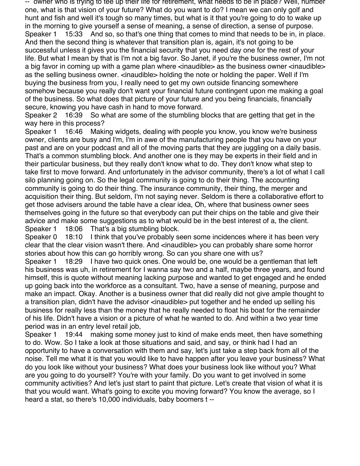-- owner who is trying to tee up their life for retirement, what needs to be in place? Well, number one, what is that vision of your future? What do you want to do? I mean we can only golf and hunt and fish and well it's tough so many times, but what is it that you're going to do to wake up in the morning to give yourself a sense of meaning, a sense of direction, a sense of purpose. Speaker 1 15:33 And so, so that's one thing that comes to mind that needs to be in, in place. And then the second thing is whatever that transition plan is, again, it's not going to be successful unless it gives you the financial security that you need day one for the rest of your life. But what I mean by that is I'm not a big favor. So Janet, if you're the business owner, I'm not a big favor in coming up with a game plan where <inaudible> as the business owner <inaudible> as the selling business owner. <inaudible> holding the note or holding the paper. Well if I'm buying the business from you, I really need to get my own outside financing somewhere somehow because you really don't want your financial future contingent upon me making a goal of the business. So what does that picture of your future and you being financials, financially secure, knowing you have cash in hand to move forward.

Speaker 2 16:39 So what are some of the stumbling blocks that are getting that get in the way here in this process?

Speaker 1 16:46 Making widgets, dealing with people you know, you know we're business owner, clients are busy and I'm, I'm in awe of the manufacturing people that you have on your past and are on your podcast and all of the moving parts that they are juggling on a daily basis. That's a common stumbling block. And another one is they may be experts in their field and in their particular business, but they really don't know what to do. They don't know what step to take first to move forward. And unfortunately in the advisor community, there's a lot of what I call silo planning going on. So the legal community is going to do their thing. The accounting community is going to do their thing. The insurance community, their thing, the merger and acquisition their thing. But seldom, I'm not saying never. Seldom is there a collaborative effort to get those advisers around the table have a clear idea, Oh, where that business owner sees themselves going in the future so that everybody can put their chips on the table and give their advice and make some suggestions as to what would be in the best interest of a, the client. Speaker 1 18:06 That's a big stumbling block.

Speaker 0 18:10 I think that you've probably seen some incidences where it has been very clear that the clear vision wasn't there. And <inaudible> you can probably share some horror stories about how this can go horribly wrong. So can you share one with us?

Speaker 1 18:29 I have two quick ones. One would be, one would be a gentleman that left his business was uh, in retirement for I wanna say two and a half, maybe three years, and found himself, this is quote without meaning lacking purpose and wanted to get engaged and he ended up going back into the workforce as a consultant. Two, have a sense of meaning, purpose and make an impact. Okay. Another is a business owner that did really did not give ample thought to a transition plan, didn't have the advisor <inaudible> put together and he ended up selling his business for really less than the money that he really needed to float his boat for the remainder of his life. Didn't have a vision or a picture of what he wanted to do. And within a two year time period was in an entry level retail job,

Speaker 1 19:44 making some money just to kind of make ends meet, then have something to do. Wow. So I take a look at those situations and said, and say, or think had I had an opportunity to have a conversation with them and say, let's just take a step back from all of the noise. Tell me what it is that you would like to have happen after you leave your business? What do you look like without your business? What does your business look like without you? What are you going to do yourself? You're with your family. Do you want to get involved in some community activities? And let's just start to paint that picture. Let's create that vision of what it is that you would want. What's going to excite you moving forward? You know the average, so I heard a stat, so there's 10,000 individuals, baby boomers t --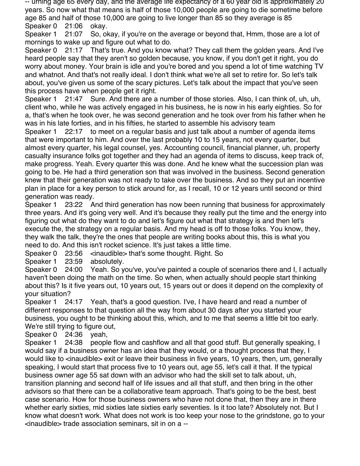-- urning age 65 every day, and the average life expectancy of a 60 year old is approximately 20 years. So now what that means is half of those 10,000 people are going to die sometime before age 85 and half of those 10,000 are going to live longer than 85 so they average is 85 Speaker 0 21:06 okay.

Speaker 1 21:07 So, okay, if you're on the average or beyond that, Hmm, those are a lot of mornings to wake up and figure out what to do.

Speaker 0 21:17 That's true. And you know what? They call them the golden years. And I've heard people say that they aren't so golden because, you know, if you don't get it right, you do worry about money. Your brain is idle and you're bored and you spend a lot of time watching TV and whatnot. And that's not really ideal. I don't think what we're all set to retire for. So let's talk about, you've given us some of the scary pictures. Let's talk about the impact that you've seen this process have when people get it right.

Speaker 1 21:47 Sure. And there are a number of those stories. Also, I can think of, uh, uh, client who, while he was actively engaged in his business, he is now in his early eighties. So for a, that's when he took over, he was second generation and he took over from his father when he was in his late forties, and in his fifties, he started to assemble his advisory team

Speaker 1 22:17 to meet on a regular basis and just talk about a number of agenda items that were important to him. And over the last probably 10 to 15 years, not every quarter, but almost every quarter, his legal counsel, yes. Accounting council, financial planner, uh, property casualty insurance folks got together and they had an agenda of items to discuss, keep track of, make progress. Yeah. Every quarter this was done. And he knew what the succession plan was going to be. He had a third generation son that was involved in the business. Second generation knew that their generation was not ready to take over the business. And so they put an incentive plan in place for a key person to stick around for, as I recall, 10 or 12 years until second or third generation was ready.

Speaker 1 23:22 And third generation has now been running that business for approximately three years. And it's going very well. And it's because they really put the time and the energy into figuring out what do they want to do and let's figure out what that strategy is and then let's execute the, the strategy on a regular basis. And my head is off to those folks. You know, they, they walk the talk, they're the ones that people are writing books about this, this is what you need to do. And this isn't rocket science. It's just takes a little time.

Speaker 0 23:56 <inaudible> that's some thought. Right. So

Speaker 1 23:59 absolutely.

Speaker 0 24:00 Yeah. So you've, you've painted a couple of scenarios there and I, I actually haven't been doing the math on the time. So when, when actually should people start thinking about this? Is it five years out, 10 years out, 15 years out or does it depend on the complexity of your situation?

Speaker 1 24:17 Yeah, that's a good question. I've, I have heard and read a number of different responses to that question all the way from about 30 days after you started your business, you ought to be thinking about this, which, and to me that seems a little bit too early. We're still trying to figure out,

Speaker 0 24:36 yeah,

Speaker 1 24:38 people flow and cashflow and all that good stuff. But generally speaking, I would say if a business owner has an idea that they would, or a thought process that they, I would like to <inaudible> exit or leave their business in five years, 10 years, then, um, generally speaking, I would start that process five to 10 years out, age 55, let's call it that. If the typical business owner age 55 sat down with an advisor who had the skill set to talk about, uh, transition planning and second half of life issues and all that stuff, and then bring in the other advisors so that there can be a collaborative team approach. That's going to be the best, best case scenario. How for those business owners who have not done that, then they are in there whether early sixties, mid sixties late sixties early seventies. Is it too late? Absolutely not. But I know what doesn't work. What does not work is too keep your nose to the grindstone, go to your <inaudible> trade association seminars, sit in on a --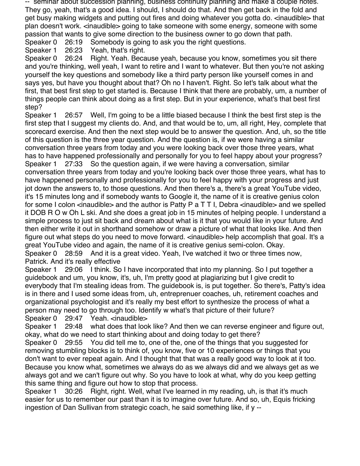-- seminar about succession planning, business continuity planning and make a couple notes. They go, yeah, that's a good idea. I should, I should do that. And then get back in the fold and get busy making widgets and putting out fires and doing whatever you gotta do. <inaudible> that plan doesn't work. <inaudible> going to take someone with some energy, someone with some passion that wants to give some direction to the business owner to go down that path.

Speaker 0 26:19 Somebody is going to ask you the right questions.

Speaker 1 26:23 Yeah, that's right.

Speaker 0 26:24 Right. Yeah. Because yeah, because you know, sometimes you sit there and you're thinking, well yeah, I want to retire and I want to whatever. But then you're not asking yourself the key questions and somebody like a third party person like yourself comes in and says yes, but have you thought about that? Oh no I haven't. Right. So let's talk about what the first, that best first step to get started is. Because I think that there are probably, um, a number of things people can think about doing as a first step. But in your experience, what's that best first step?

Speaker 1 26:57 Well, I'm going to be a little biased because I think the best first step is the first step that I suggest my clients do. And, and that would be to, um, all right, Hey, complete that scorecard exercise. And then the next step would be to answer the question. And, uh, so the title of this question is the three year question. And the question is, if we were having a similar conversation three years from today and you were looking back over those three years, what has to have happened professionally and personally for you to feel happy about your progress? Speaker 1 27:33 So the question again, if we were having a conversation, similar conversation three years from today and you're looking back over those three years, what has to have happened personally and professionally for you to feel happy with your progress and just jot down the answers to, to those questions. And then there's a, there's a great YouTube video, it's 15 minutes long and if somebody wants to Google it, the name of it is creative genius colon for some I colon <inaudible> and the author is Patty P a T T I, Debra <inaudible> and we spelled it DOB R O w Oh L ski. And she does a great job in 15 minutes of helping people. I understand a simple process to just sit back and dream about what is it that you would like in your future. And then either write it out in shorthand somehow or draw a picture of what that looks like. And then figure out what steps do you need to move forward. <inaudible> help accomplish that goal. It's a great YouTube video and again, the name of it is creative genius semi-colon. Okay. Speaker 0 28:59 And it is a great video. Yeah, I've watched it two or three times now, Patrick. And it's really effective

Speaker 1 29:06 I think. So I have incorporated that into my planning. So I put together a guidebook and um, you know, it's, uh, I'm pretty good at plagiarizing but I give credit to everybody that I'm stealing ideas from. The guidebook is, is put together. So there's, Patty's idea is in there and I used some ideas from, uh, entreprenuer coaches, uh, retirement coaches and organizational psychologist and it's really my best effort to synthesize the process of what a person may need to go through too. Identify w what's that picture of their future? Speaker 0 29:47 Yeah. <inaudible>

Speaker 1 29:48 what does that look like? And then we can reverse engineer and figure out,

okay, what do we need to start thinking about and doing today to get there? Speaker 0 29:55 You did tell me to, one of the, one of the things that you suggested for

removing stumbling blocks is to think of, you know, five or 10 experiences or things that you don't want to ever repeat again. And I thought that that was a really good way to look at it too. Because you know what, sometimes we always do as we always did and we always get as we always got and we can't figure out why. So you have to look at what, why do you keep getting this same thing and figure out how to stop that process.

Speaker 1 30:26 Right, right. Well, what I've learned in my reading, uh, is that it's much easier for us to remember our past than it is to imagine over future. And so, uh, Equis fricking ingestion of Dan Sullivan from strategic coach, he said something like, if y --